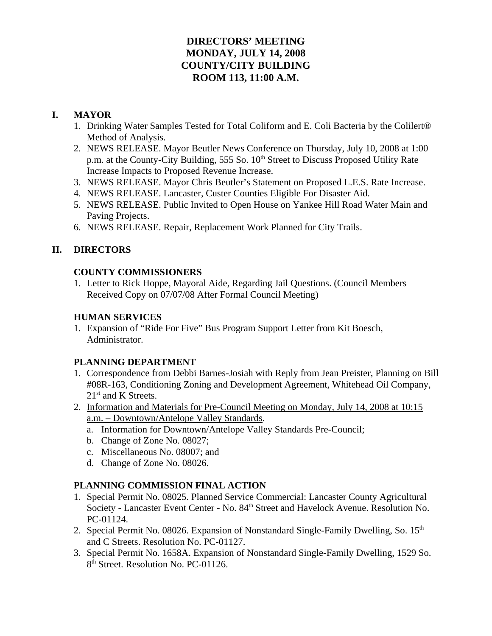# **DIRECTORS' MEETING MONDAY, JULY 14, 2008 COUNTY/CITY BUILDING ROOM 113, 11:00 A.M.**

# **I. MAYOR**

- 1. Drinking Water Samples Tested for Total Coliform and E. Coli Bacteria by the Colilert® Method of Analysis.
- 2. NEWS RELEASE. Mayor Beutler News Conference on Thursday, July 10, 2008 at 1:00 p.m. at the County-City Building, 555 So. 10<sup>th</sup> Street to Discuss Proposed Utility Rate Increase Impacts to Proposed Revenue Increase.
- 3. NEWS RELEASE. Mayor Chris Beutler's Statement on Proposed L.E.S. Rate Increase.
- 4. NEWS RELEASE. Lancaster, Custer Counties Eligible For Disaster Aid.
- 5. NEWS RELEASE. Public Invited to Open House on Yankee Hill Road Water Main and Paving Projects.
- 6. NEWS RELEASE. Repair, Replacement Work Planned for City Trails.

# **II. DIRECTORS**

# **COUNTY COMMISSIONERS**

1. Letter to Rick Hoppe, Mayoral Aide, Regarding Jail Questions. (Council Members Received Copy on 07/07/08 After Formal Council Meeting)

# **HUMAN SERVICES**

1. Expansion of "Ride For Five" Bus Program Support Letter from Kit Boesch, Administrator.

## **PLANNING DEPARTMENT**

- 1. Correspondence from Debbi Barnes-Josiah with Reply from Jean Preister, Planning on Bill #08R-163, Conditioning Zoning and Development Agreement, Whitehead Oil Company, 21<sup>st</sup> and K Streets.
- 2. Information and Materials for Pre-Council Meeting on Monday, July 14, 2008 at 10:15 a.m. – Downtown/Antelope Valley Standards.
	- a. Information for Downtown/Antelope Valley Standards Pre-Council;
	- b. Change of Zone No. 08027;
	- c. Miscellaneous No. 08007; and
	- d. Change of Zone No. 08026.

# **PLANNING COMMISSION FINAL ACTION**

- 1. Special Permit No. 08025. Planned Service Commercial: Lancaster County Agricultural Society - Lancaster Event Center - No. 84<sup>th</sup> Street and Havelock Avenue. Resolution No. PC-01124.
- 2. Special Permit No. 08026. Expansion of Nonstandard Single-Family Dwelling, So. 15<sup>th</sup> and C Streets. Resolution No. PC-01127.
- 3. Special Permit No. 1658A. Expansion of Nonstandard Single-Family Dwelling, 1529 So. 8<sup>th</sup> Street. Resolution No. PC-01126.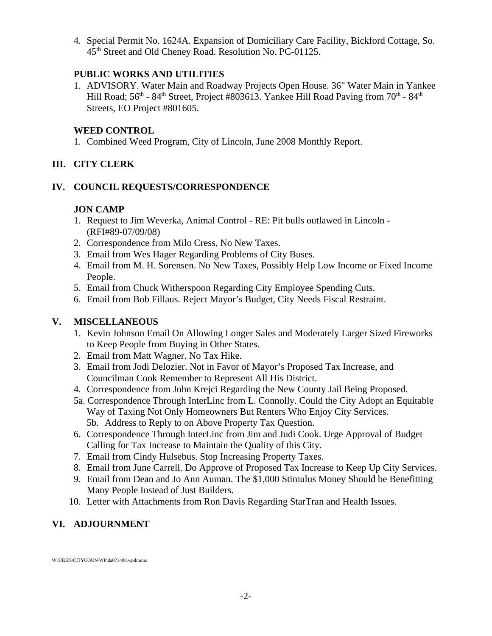4. Special Permit No. 1624A. Expansion of Domiciliary Care Facility, Bickford Cottage, So. 45<sup>th</sup> Street and Old Cheney Road. Resolution No. PC-01125.

## **PUBLIC WORKS AND UTILITIES**

1. ADVISORY. Water Main and Roadway Projects Open House. 36" Water Main in Yankee Hill Road;  $56<sup>th</sup>$  -  $84<sup>th</sup>$  Street, Project #803613. Yankee Hill Road Paving from  $70<sup>th</sup>$  -  $84<sup>th</sup>$ Streets, EO Project #801605.

# **WEED CONTROL**

1. Combined Weed Program, City of Lincoln, June 2008 Monthly Report.

# **III. CITY CLERK**

## **IV. COUNCIL REQUESTS/CORRESPONDENCE**

## **JON CAMP**

- 1. Request to Jim Weverka, Animal Control RE: Pit bulls outlawed in Lincoln (RFI#89-07/09/08)
- 2. Correspondence from Milo Cress, No New Taxes.
- 3. Email from Wes Hager Regarding Problems of City Buses.
- 4. Email from M. H. Sorensen. No New Taxes, Possibly Help Low Income or Fixed Income People.
- 5. Email from Chuck Witherspoon Regarding City Employee Spending Cuts.
- 6. Email from Bob Fillaus. Reject Mayor's Budget, City Needs Fiscal Restraint.

# **V. MISCELLANEOUS**

- 1. Kevin Johnson Email On Allowing Longer Sales and Moderately Larger Sized Fireworks to Keep People from Buying in Other States.
- 2. Email from Matt Wagner. No Tax Hike.
- 3. Email from Jodi Delozier. Not in Favor of Mayor's Proposed Tax Increase, and Councilman Cook Remember to Represent All His District.
- 4. Correspondence from John Krejci Regarding the New County Jail Being Proposed.
- 5a. Correspondence Through InterLinc from L. Connolly. Could the City Adopt an Equitable Way of Taxing Not Only Homeowners But Renters Who Enjoy City Services. 5b. Address to Reply to on Above Property Tax Question.
- 6. Correspondence Through InterLinc from Jim and Judi Cook. Urge Approval of Budget Calling for Tax Increase to Maintain the Quality of this City.
- 7. Email from Cindy Hulsebus. Stop Increasing Property Taxes.
- 8. Email from June Carrell. Do Approve of Proposed Tax Increase to Keep Up City Services.
- 9. Email from Dean and Jo Ann Auman. The \$1,000 Stimulus Money Should be Benefitting Many People Instead of Just Builders.
- 10. Letter with Attachments from Ron Davis Regarding StarTran and Health Issues.

# **VI. ADJOURNMENT**

W:\FILES\CITYCOUN\WP\da071408.wpdmmm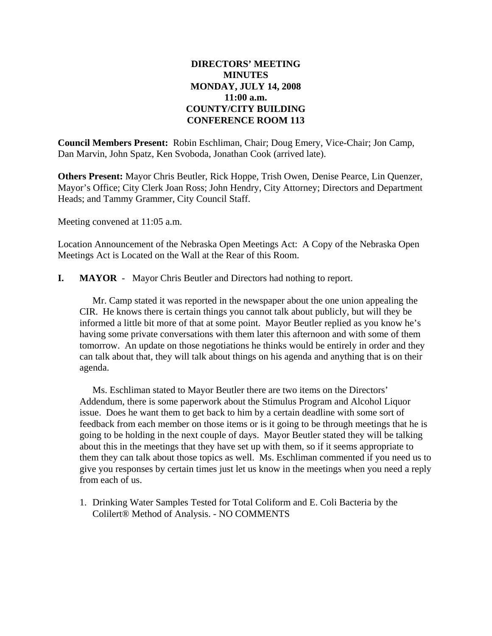## **DIRECTORS' MEETING MINUTES MONDAY, JULY 14, 2008 11:00 a.m. COUNTY/CITY BUILDING CONFERENCE ROOM 113**

**Council Members Present:** Robin Eschliman, Chair; Doug Emery, Vice-Chair; Jon Camp, Dan Marvin, John Spatz, Ken Svoboda, Jonathan Cook (arrived late).

**Others Present:** Mayor Chris Beutler, Rick Hoppe, Trish Owen, Denise Pearce, Lin Quenzer, Mayor's Office; City Clerk Joan Ross; John Hendry, City Attorney; Directors and Department Heads; and Tammy Grammer, City Council Staff.

Meeting convened at 11:05 a.m.

Location Announcement of the Nebraska Open Meetings Act: A Copy of the Nebraska Open Meetings Act is Located on the Wall at the Rear of this Room.

**I. MAYOR** - Mayor Chris Beutler and Directors had nothing to report.

Mr. Camp stated it was reported in the newspaper about the one union appealing the CIR. He knows there is certain things you cannot talk about publicly, but will they be informed a little bit more of that at some point. Mayor Beutler replied as you know he's having some private conversations with them later this afternoon and with some of them tomorrow. An update on those negotiations he thinks would be entirely in order and they can talk about that, they will talk about things on his agenda and anything that is on their agenda.

Ms. Eschliman stated to Mayor Beutler there are two items on the Directors' Addendum, there is some paperwork about the Stimulus Program and Alcohol Liquor issue. Does he want them to get back to him by a certain deadline with some sort of feedback from each member on those items or is it going to be through meetings that he is going to be holding in the next couple of days. Mayor Beutler stated they will be talking about this in the meetings that they have set up with them, so if it seems appropriate to them they can talk about those topics as well. Ms. Eschliman commented if you need us to give you responses by certain times just let us know in the meetings when you need a reply from each of us.

1. Drinking Water Samples Tested for Total Coliform and E. Coli Bacteria by the Colilert® Method of Analysis. - NO COMMENTS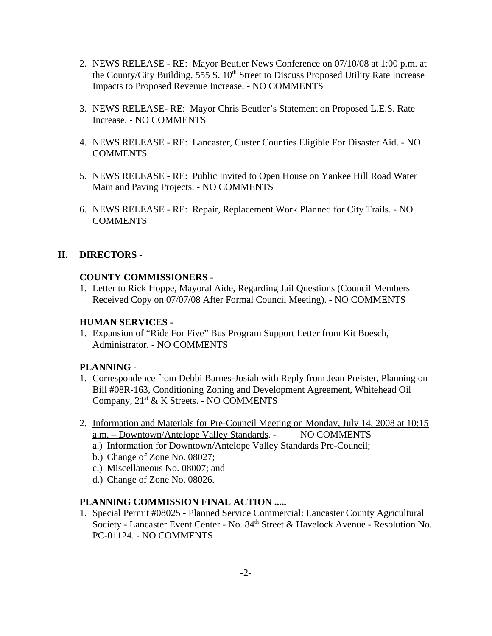- 2. NEWS RELEASE RE: Mayor Beutler News Conference on 07/10/08 at 1:00 p.m. at the County/City Building, 555 S. 10<sup>th</sup> Street to Discuss Proposed Utility Rate Increase Impacts to Proposed Revenue Increase. - NO COMMENTS
- 3. NEWS RELEASE- RE: Mayor Chris Beutler's Statement on Proposed L.E.S. Rate Increase. - NO COMMENTS
- 4. NEWS RELEASE RE: Lancaster, Custer Counties Eligible For Disaster Aid. NO **COMMENTS**
- 5. NEWS RELEASE RE: Public Invited to Open House on Yankee Hill Road Water Main and Paving Projects. - NO COMMENTS
- 6. NEWS RELEASE RE: Repair, Replacement Work Planned for City Trails. NO **COMMENTS**

## **II. DIRECTORS -**

### **COUNTY COMMISSIONERS** -

1. Letter to Rick Hoppe, Mayoral Aide, Regarding Jail Questions (Council Members Received Copy on 07/07/08 After Formal Council Meeting). - NO COMMENTS

#### **HUMAN SERVICES -**

1. Expansion of "Ride For Five" Bus Program Support Letter from Kit Boesch, Administrator. - NO COMMENTS

### **PLANNING -**

- 1. Correspondence from Debbi Barnes-Josiah with Reply from Jean Preister, Planning on Bill #08R-163, Conditioning Zoning and Development Agreement, Whitehead Oil Company,  $21^{st}$  & K Streets. - NO COMMENTS
- 2. Information and Materials for Pre-Council Meeting on Monday, July 14, 2008 at 10:15 a.m. – Downtown/Antelope Valley Standards. - NO COMMENTS
	- a.) Information for Downtown/Antelope Valley Standards Pre-Council;
	- b.) Change of Zone No. 08027;
	- c.) Miscellaneous No. 08007; and
	- d.) Change of Zone No. 08026.

### **PLANNING COMMISSION FINAL ACTION .....**

1. Special Permit #08025 - Planned Service Commercial: Lancaster County Agricultural Society - Lancaster Event Center - No. 84<sup>th</sup> Street & Havelock Avenue - Resolution No. PC-01124. - NO COMMENTS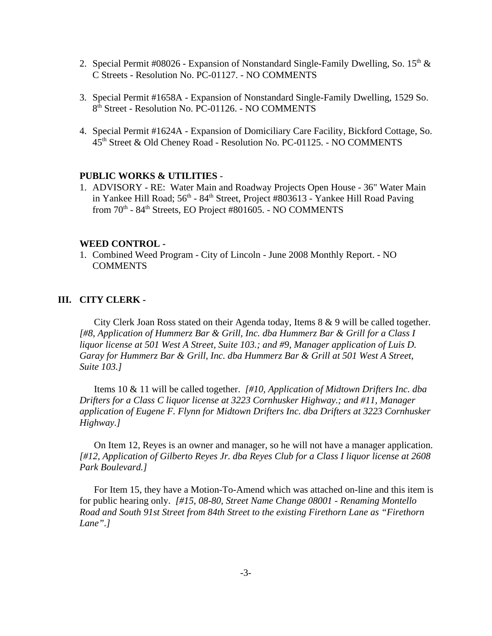- 2. Special Permit #08026 Expansion of Nonstandard Single-Family Dwelling, So.  $15<sup>th</sup>$  & C Streets - Resolution No. PC-01127. - NO COMMENTS
- 3. Special Permit #1658A Expansion of Nonstandard Single-Family Dwelling, 1529 So. 8<sup>th</sup> Street - Resolution No. PC-01126. - NO COMMENTS
- 4. Special Permit #1624A Expansion of Domiciliary Care Facility, Bickford Cottage, So. 45th Street & Old Cheney Road - Resolution No. PC-01125. - NO COMMENTS

#### **PUBLIC WORKS & UTILITIES** -

1. ADVISORY - RE: Water Main and Roadway Projects Open House - 36" Water Main in Yankee Hill Road;  $56<sup>th</sup>$  -  $84<sup>th</sup>$  Street, Project #803613 - Yankee Hill Road Paving from  $70<sup>th</sup>$  -  $84<sup>th</sup>$  Streets, EO Project #801605. - NO COMMENTS

#### **WEED CONTROL -**

1. Combined Weed Program - City of Lincoln - June 2008 Monthly Report. - NO **COMMENTS** 

### **III. CITY CLERK -**

City Clerk Joan Ross stated on their Agenda today, Items 8 & 9 will be called together. *[#8, Application of Hummerz Bar & Grill, Inc. dba Hummerz Bar & Grill for a Class I liquor license at 501 West A Street, Suite 103.; and #9, Manager application of Luis D. Garay for Hummerz Bar & Grill, Inc. dba Hummerz Bar & Grill at 501 West A Street, Suite 103.]* 

Items 10 & 11 will be called together. *[#10, Application of Midtown Drifters Inc. dba Drifters for a Class C liquor license at 3223 Cornhusker Highway.; and #11, Manager application of Eugene F. Flynn for Midtown Drifters Inc. dba Drifters at 3223 Cornhusker Highway.]* 

On Item 12, Reyes is an owner and manager, so he will not have a manager application. *[#12, Application of Gilberto Reyes Jr. dba Reyes Club for a Class I liquor license at 2608 Park Boulevard.]* 

For Item 15, they have a Motion-To-Amend which was attached on-line and this item is for public hearing only. *[#15, 08-80, Street Name Change 08001 - Renaming Montello Road and South 91st Street from 84th Street to the existing Firethorn Lane as "Firethorn Lane".]*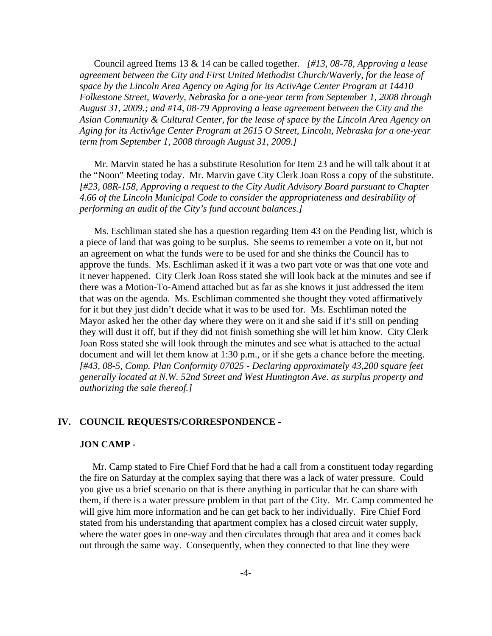Council agreed Items 13 & 14 can be called together. *[#13, 08-78, Approving a lease agreement between the City and First United Methodist Church/Waverly, for the lease of space by the Lincoln Area Agency on Aging for its ActivAge Center Program at 14410 Folkestone Street, Waverly, Nebraska for a one-year term from September 1, 2008 through August 31, 2009.; and #14, 08-79 Approving a lease agreement between the City and the Asian Community & Cultural Center, for the lease of space by the Lincoln Area Agency on Aging for its ActivAge Center Program at 2615 O Street, Lincoln, Nebraska for a one-year term from September 1, 2008 through August 31, 2009.]*

Mr. Marvin stated he has a substitute Resolution for Item 23 and he will talk about it at the "Noon" Meeting today. Mr. Marvin gave City Clerk Joan Ross a copy of the substitute. *[#23, 08R-158, Approving a request to the City Audit Advisory Board pursuant to Chapter 4.66 of the Lincoln Municipal Code to consider the appropriateness and desirability of performing an audit of the City's fund account balances.]*

Ms. Eschliman stated she has a question regarding Item 43 on the Pending list, which is a piece of land that was going to be surplus. She seems to remember a vote on it, but not an agreement on what the funds were to be used for and she thinks the Council has to approve the funds. Ms. Eschliman asked if it was a two part vote or was that one vote and it never happened. City Clerk Joan Ross stated she will look back at the minutes and see if there was a Motion-To-Amend attached but as far as she knows it just addressed the item that was on the agenda. Ms. Eschliman commented she thought they voted affirmatively for it but they just didn't decide what it was to be used for. Ms. Eschliman noted the Mayor asked her the other day where they were on it and she said if it's still on pending they will dust it off, but if they did not finish something she will let him know. City Clerk Joan Ross stated she will look through the minutes and see what is attached to the actual document and will let them know at 1:30 p.m., or if she gets a chance before the meeting. *[#43, 08-5, Comp. Plan Conformity 07025 - Declaring approximately 43,200 square feet generally located at N.W. 52nd Street and West Huntington Ave. as surplus property and authorizing the sale thereof.]* 

#### **IV. COUNCIL REQUESTS/CORRESPONDENCE -**

#### **JON CAMP -**

Mr. Camp stated to Fire Chief Ford that he had a call from a constituent today regarding the fire on Saturday at the complex saying that there was a lack of water pressure. Could you give us a brief scenario on that is there anything in particular that he can share with them, if there is a water pressure problem in that part of the City. Mr. Camp commented he will give him more information and he can get back to her individually. Fire Chief Ford stated from his understanding that apartment complex has a closed circuit water supply, where the water goes in one-way and then circulates through that area and it comes back out through the same way. Consequently, when they connected to that line they were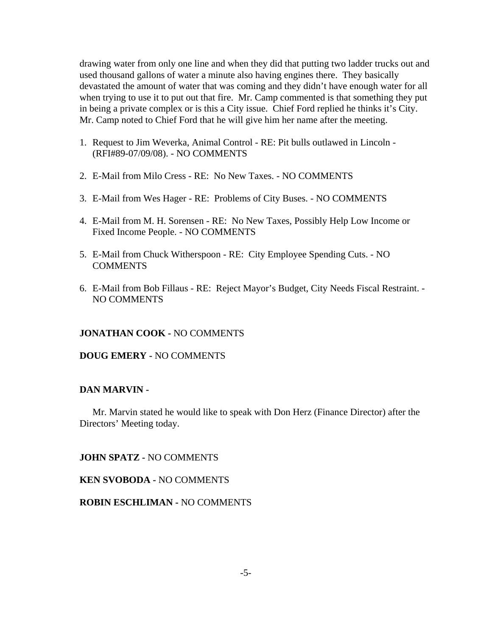drawing water from only one line and when they did that putting two ladder trucks out and used thousand gallons of water a minute also having engines there. They basically devastated the amount of water that was coming and they didn't have enough water for all when trying to use it to put out that fire. Mr. Camp commented is that something they put in being a private complex or is this a City issue. Chief Ford replied he thinks it's City. Mr. Camp noted to Chief Ford that he will give him her name after the meeting.

- 1. Request to Jim Weverka, Animal Control RE: Pit bulls outlawed in Lincoln (RFI#89-07/09/08). - NO COMMENTS
- 2. E-Mail from Milo Cress RE: No New Taxes. NO COMMENTS
- 3. E-Mail from Wes Hager RE: Problems of City Buses. NO COMMENTS
- 4. E-Mail from M. H. Sorensen RE: No New Taxes, Possibly Help Low Income or Fixed Income People. - NO COMMENTS
- 5. E-Mail from Chuck Witherspoon RE: City Employee Spending Cuts. NO **COMMENTS**
- 6. E-Mail from Bob Fillaus RE: Reject Mayor's Budget, City Needs Fiscal Restraint. NO COMMENTS

#### **JONATHAN COOK -** NO COMMENTS

#### **DOUG EMERY -** NO COMMENTS

#### **DAN MARVIN -**

Mr. Marvin stated he would like to speak with Don Herz (Finance Director) after the Directors' Meeting today.

**JOHN SPATZ -** NO COMMENTS

**KEN SVOBODA -** NO COMMENTS

**ROBIN ESCHLIMAN -** NO COMMENTS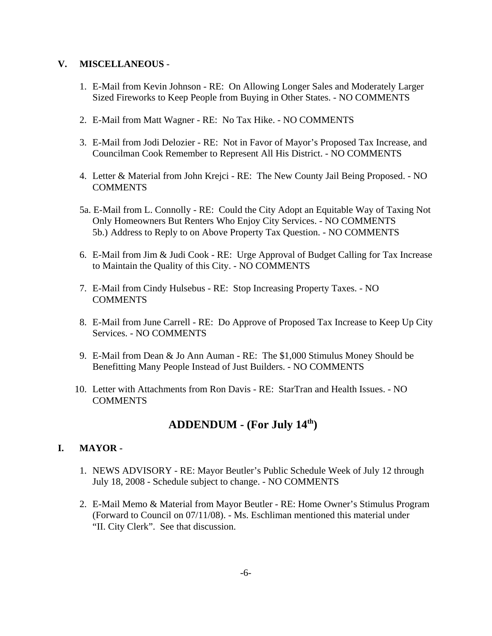### **V. MISCELLANEOUS** -

- 1. E-Mail from Kevin Johnson RE: On Allowing Longer Sales and Moderately Larger Sized Fireworks to Keep People from Buying in Other States. - NO COMMENTS
- 2. E-Mail from Matt Wagner RE: No Tax Hike. NO COMMENTS
- 3. E-Mail from Jodi Delozier RE: Not in Favor of Mayor's Proposed Tax Increase, and Councilman Cook Remember to Represent All His District. - NO COMMENTS
- 4. Letter & Material from John Krejci RE: The New County Jail Being Proposed. NO **COMMENTS**
- 5a. E-Mail from L. Connolly RE: Could the City Adopt an Equitable Way of Taxing Not Only Homeowners But Renters Who Enjoy City Services. - NO COMMENTS 5b.) Address to Reply to on Above Property Tax Question. - NO COMMENTS
- 6. E-Mail from Jim & Judi Cook RE: Urge Approval of Budget Calling for Tax Increase to Maintain the Quality of this City. - NO COMMENTS
- 7. E-Mail from Cindy Hulsebus RE: Stop Increasing Property Taxes. NO **COMMENTS**
- 8. E-Mail from June Carrell RE: Do Approve of Proposed Tax Increase to Keep Up City Services. - NO COMMENTS
- 9. E-Mail from Dean & Jo Ann Auman RE: The \$1,000 Stimulus Money Should be Benefitting Many People Instead of Just Builders. - NO COMMENTS
- 10. Letter with Attachments from Ron Davis RE: StarTran and Health Issues. NO **COMMENTS**

# **ADDENDUM - (For July 14th)**

## **I. MAYOR -**

- 1. NEWS ADVISORY RE: Mayor Beutler's Public Schedule Week of July 12 through July 18, 2008 - Schedule subject to change. - NO COMMENTS
- 2. E-Mail Memo & Material from Mayor Beutler RE: Home Owner's Stimulus Program (Forward to Council on 07/11/08). - Ms. Eschliman mentioned this material under "II. City Clerk". See that discussion.